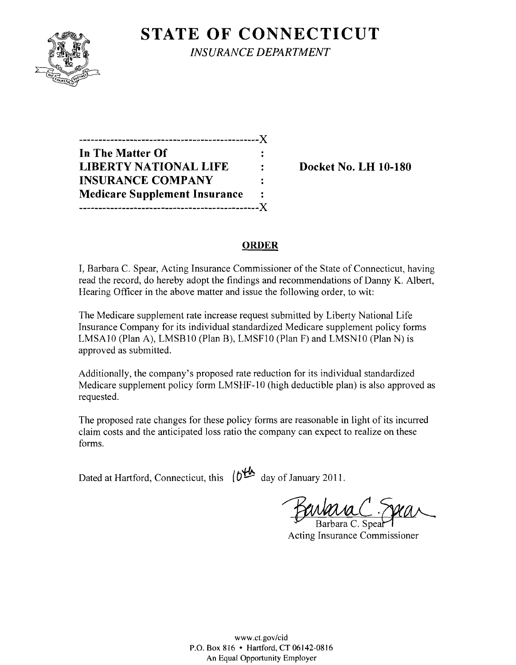

**STATE OF CONNECTICUT** 

*INSURANCE DEPARTMENT* 

| In The Matter Of                     |                |
|--------------------------------------|----------------|
| <b>LIBERTY NATIONAL LIFE</b>         |                |
| <b>INSURANCE COMPANY</b>             | ٠.             |
| <b>Medicare Supplement Insurance</b> | $\ddot{\cdot}$ |
|                                      |                |

**Docket No. LH 10-180** 

# **ORDER**

I, Barbara C. Spear, Acting Insurance Commissioner of the State of Connecticut, having read the record, do hereby adopt the findings and recommendations of Danny K. Albert, Hearing Officer in the above matter and issue the following order, to wit:

The Medicare supplement rate increase request submitted by Liberty National Life Insurance Company for its individual standardized Medicare supplement policy forms LMSA10 (Plan A), LMSB10 (Plan B), LMSF10 (Plan F) and LMSN10 (Plan N) is approved as submitted.

Additionally, the company's proposed rate reduction for its individual standardized Medicare supplement policy form LMSHF-10 (high deductible plan) is also approved as requested.

The proposed rate changes for these policy forms are reasonable in light of its incurred claim costs and the anticipated loss ratio the company can expect to realize on these forms.

Dated at Hartford, Connecticut, this  $\left\{0^{\frac{1}{2}}\right\}$  day of January 2011.

Barbara C. Speal

Acting Insurance Commissioner

www.ct.gov/cid P.O. Box 816 • Hartford, CT 06142-0816 An Equal Opportunity Employer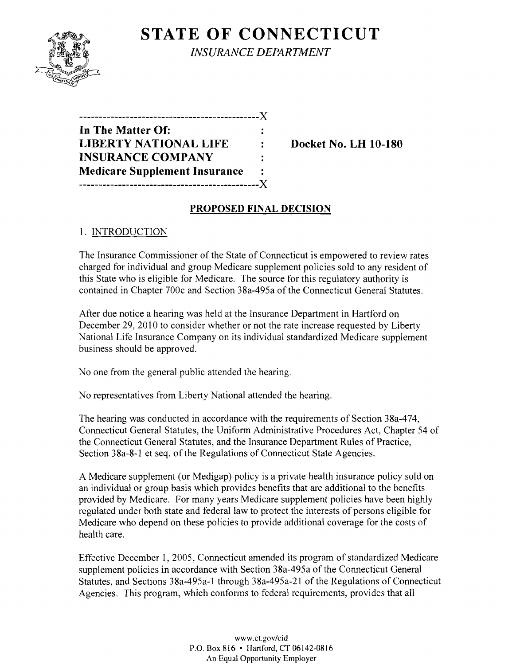

**STATE OF CONNECTICUT** *INSURANCE DEPARTMENT* 

| ------------------------X            |    |
|--------------------------------------|----|
| In The Matter Of:                    |    |
| <b>LIBERTY NATIONAL LIFE</b>         |    |
| <b>INSURANCE COMPANY</b>             | ٠. |
| <b>Medicare Supplement Insurance</b> |    |
| -----------                          | .X |

**Docket No. LH 10-180** 

### **PROPOSED FINAL DECISION**

### 1. INTRODUCTION

The Insurance Commissioner of the State of Connecticut is empowered to review rates charged for individual and group Medicare supplement policies sold to any resident of this State who is eligible for Medicare. The source for this regulatory authority is contained in Chapter 700c and Section 38a-495a of the Connecticut General Statutes.

After due notice a hearing was held at the Insurance Department in Hartford on December 29, 2010 to consider whether or not the rate increase requested by Liberty National Life Insurance Company on its individual standardized Medicare supplement business should be approved.

No one from the general public attended the hearing.

No representatives from Liberty National attended the hearing.

The hearing was conducted in accordance with the requirements of Section 38a-474, Connecticut General Statutes, the Uniform Administrative Procedures Act, Chapter 54 of the Connecticut General Statutes, and the Insurance Department Rules of Practice, Section 38a-8-1 et seq. of the Regulations of Connecticut State Agencies.

A Medicare supplement (or Medigap) policy is a private health insurance policy sold on an individual or group basis which provides benefits that are additional to the benefits provided by Medicare. For many years Medicare supplement policies have been highly regulated under both state and federal law to protect the interests of persons eligible for Medicare who depend on these policies to provide additional coverage for the costs of health care.

Effective December 1, 2005, Connecticut amended its program of standardized Medicare supplement policies in accordance with Section 38a-495a of the Connecticut General Statutes, and Sections 38a-495a-1 through 38a-495a-21 of the Regulations of Connecticut Agencies. This program, which conforms to federal requirements, provides that all

> www.ct.gov/cid P.O. Box 816 • Hartford, CT 06142-0816 An Equal Opportunity Employer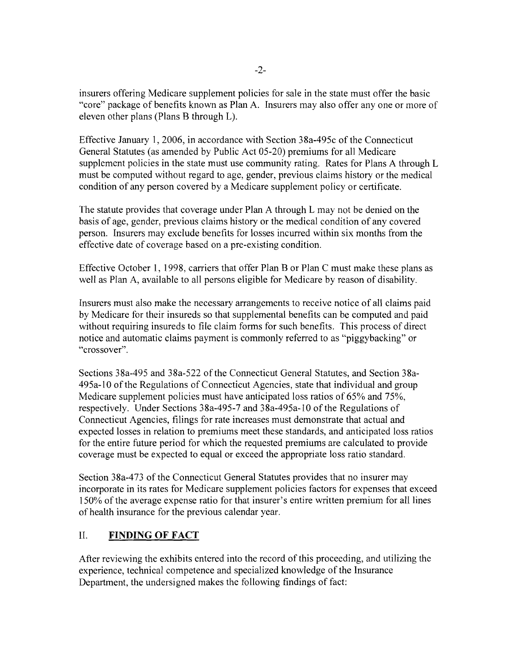insurers offering Medicare supplement policies for sale in the state must offer the basic "core" package of benefits known as Plan A. Insurers may also offer anyone or more of eleven other plans (Plans B through L).

Effective January **1,2006,** in accordance with Section 38a-495c of the Connecticut General Statutes (as amended by Public Act 05-20) premiums for all Medicare supplement policies in the state must use community rating. Rates for Plans A through L must be computed without regard to age, gender, previous claims history or the medical condition of any person covered by a Medicare supplement policy or certificate.

The statute provides that coverage under Plan A through L may not be denied on the basis of age, gender, previous claims history or the medical condition of any covered person. Insurers may exclude benefits for losses incurred within six months from the effective date of coverage based on a pre-existing condition.

Effective October 1, 1998, carriers that offer Plan B or Plan C must make these plans as well as Plan A, available to all persons eligible for Medicare by reason of disability.

Insurers must also make the necessary arrangements to receive notice of all claims paid by Medicare for their insureds so that supplemental benefits can be computed and paid without requiring insureds to file claim forms for such benefits. This process of direct notice and automatic claims payment is commonly referred to as "piggybacking" or "crossover".

Sections 38a-495 and 38a-522 of the Connecticut General Statutes, and Section 38a-495a-10 ofthe Regulations of Connecticut Agencies, state that individual and group Medicare supplement policies must have anticipated loss ratios of 65% and 75%, respectively. Under Sections 38a-495-7 and 38a-495a-10 of the Regulations of Connecticut Agencies, filings for rate increases must demonstrate that actual and expected losses in relation to premiums meet these standards, and anticipated loss ratios for the entire future period for which the requested premiums are calculated to provide coverage must be expected to equal or exceed the appropriate loss ratio standard.

Section 38a-473 of the Connecticut General Statutes provides that no insurer may incorporate in its rates for Medicare supplement policies factors for expenses that exceed 150% of the average expense ratio for that insurer's entire written premium for all lines of health insurance for the previous calendar year.

# **II. FINDING OF FACT**

After reviewing the exhibits entered into the record of this proceeding, and utilizing the experience, technical competence and specialized knowledge of the Insurance Department, the undersigned makes the following findings of fact: